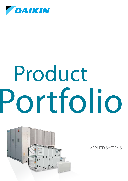

# Portfolio Product



Applied systems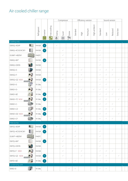# Air cooled chiller range

|                                                                                                                                                                     |                                                                                                                                                                                                                                      |             |                 |              |              | Compressor   |                     |              |              | Efficiency version |              |              | Sound version |              |              |  |
|---------------------------------------------------------------------------------------------------------------------------------------------------------------------|--------------------------------------------------------------------------------------------------------------------------------------------------------------------------------------------------------------------------------------|-------------|-----------------|--------------|--------------|--------------|---------------------|--------------|--------------|--------------------|--------------|--------------|---------------|--------------|--------------|--|
|                                                                                                                                                                     |                                                                                                                                                                                                                                      | Refrigerant | <b>INVEITER</b> |              | O Swing      | Scroll       | <b>Example 1999</b> | Standard     | High         | Premium            | High ambient | Standard     | $\sqrt{2}$    | Reduced      | Extra low    |  |
| Cooling only                                                                                                                                                        |                                                                                                                                                                                                                                      |             |                 |              |              |              |                     |              |              |                    |              |              |               |              |              |  |
| EWAQ~ADVP                                                                                                                                                           | $\bullet$                                                                                                                                                                                                                            | R-410A      | AC              |              | $\checkmark$ |              |                     | $\checkmark$ |              |                    |              | $\checkmark$ |               |              |              |  |
| EWAQ~ACV3/ACW1                                                                                                                                                      | eo                                                                                                                                                                                                                                   | $R-410A$    | AC              |              |              | $\checkmark$ |                     | $\checkmark$ |              |                    |              | $\checkmark$ |               |              |              |  |
| EUWA*~KBZW1                                                                                                                                                         | $\sim$ $\sim$                                                                                                                                                                                                                        | R-407C      |                 |              |              | $\checkmark$ |                     | $\checkmark$ |              |                    |              | $\checkmark$ |               |              |              |  |
| EWAQ~BA*                                                                                                                                                            |                                                                                                                                                                                                                                      | $R-410A$    | AC              |              |              | $\checkmark$ |                     | $\checkmark$ |              |                    |              | $\checkmark$ |               |              |              |  |
| EWAQ~DAYN                                                                                                                                                           | 副                                                                                                                                                                                                                                    | $R-410A$    |                 |              |              | $\checkmark$ |                     | $\checkmark$ |              |                    |              | $\checkmark$ |               |              |              |  |
| EWAQ~E-                                                                                                                                                             |                                                                                                                                                                                                                                      | $R-410A$    |                 |              |              | $\checkmark$ |                     |              | $\checkmark$ |                    |              | $\checkmark$ | $\checkmark$  | $\checkmark$ |              |  |
| EWAQ~F-                                                                                                                                                             | <b>Day</b>                                                                                                                                                                                                                           | R-410A      |                 |              |              | $\checkmark$ |                     | $\checkmark$ | $\checkmark$ |                    |              | $\checkmark$ | $\checkmark$  | $\checkmark$ |              |  |
| EWAQ~GZ NEW                                                                                                                                                         | preliminary                                                                                                                                                                                                                          | $R-410A$    | DC              |              |              | $\checkmark$ |                     |              | $\checkmark$ |                    |              | $\checkmark$ | $\checkmark$  |              | $\checkmark$ |  |
| EWAD~E-                                                                                                                                                             | $\sqrt{\frac{1}{k}}$                                                                                                                                                                                                                 | $R-134a$    |                 |              |              |              | $\checkmark$        | $\checkmark$ |              |                    |              | $\checkmark$ | $\checkmark$  |              |              |  |
| EWAD~D-                                                                                                                                                             | $\mathbf{A}_1$                                                                                                                                                                                                                       | $R-134a$    |                 |              |              |              | $\checkmark$        | $\checkmark$ | $\checkmark$ |                    | $\checkmark$ | $\checkmark$ | $\checkmark$  | $\checkmark$ | $\checkmark$ |  |
| EWAD~BZ                                                                                                                                                             | $\frac{1}{\sqrt{2}}$                                                                                                                                                                                                                 | $R-134a$    | AC              |              |              |              | $\checkmark$        | $\checkmark$ | $\checkmark$ |                    |              | $\checkmark$ | $\checkmark$  | $\checkmark$ |              |  |
| EWAD~TZ NEW                                                                                                                                                         | <b>Exercise 18 April 18 April 18 April 18 April 18 April 18 April 18 April 18 April 18 April 18 April 18 April 18 April 18 April 18 April 18 April 18 April 18 April 18 April 18 April 18 April 18 April 18 April 18 April 18 Ap</b> | $ R-134a $  | AC              |              |              |              | $\checkmark$        | $\checkmark$ | $\checkmark$ |                    |              | $\checkmark$ | $\checkmark$  |              | $\checkmark$ |  |
| EWAD~C-                                                                                                                                                             | <b>TENNIS</b>                                                                                                                                                                                                                        | $R-134a$    |                 |              |              |              | $\checkmark$        | $\checkmark$ | $\checkmark$ | $\checkmark$       |              | $\checkmark$ | $\checkmark$  | $\checkmark$ |              |  |
| EWAD~CZ                                                                                                                                                             | $\overline{\mathbf{R}^2}$                                                                                                                                                                                                            | $R-134a$    | AC              |              |              |              | $\checkmark$        |              | $\checkmark$ |                    |              | $\checkmark$ | $\checkmark$  | $\checkmark$ |              |  |
| $\begin{array}{ c c }\n\hline\n\textbf{P} & \textbf{P} \\ \hline\n\textbf{P} & \textbf{P} \\ \hline\n\textbf{P} & \textbf{P} \\ \hline\n\end{array}$<br>EWAD~DZ NEW |                                                                                                                                                                                                                                      | $ R-134a $  | DC<br>-         |              |              |              | $\checkmark$        |              | $\checkmark$ |                    |              | $\checkmark$ | $\checkmark$  |              | $\checkmark$ |  |
| EWAD~CF                                                                                                                                                             | <b>TELESCOPE</b>                                                                                                                                                                                                                     | $R-134a$    |                 | $\checkmark$ |              |              | $\checkmark$        |              | $\checkmark$ |                    |              | $\checkmark$ | $\checkmark$  | $\checkmark$ |              |  |
| Heat pump                                                                                                                                                           |                                                                                                                                                                                                                                      |             |                 |              |              |              |                     |              |              |                    |              |              |               |              |              |  |
| EWYQ~ADVP                                                                                                                                                           | $\bullet$                                                                                                                                                                                                                            | $ R-410A $  | AC              |              | $\checkmark$ |              |                     | $\checkmark$ |              |                    |              | $\checkmark$ |               |              |              |  |
| EWYQ~ACV3/ACW1                                                                                                                                                      | OO.                                                                                                                                                                                                                                  | $ R-410A $  | AC              |              |              | $\checkmark$ |                     | $\checkmark$ |              |                    |              | $\checkmark$ |               |              |              |  |
| EUWY*~KBZW1                                                                                                                                                         | <b>PERMITTE</b>                                                                                                                                                                                                                      | R-407C      |                 |              |              | $\checkmark$ |                     | $\checkmark$ |              |                    |              | $\checkmark$ |               |              |              |  |
| EWYQ~BA*                                                                                                                                                            | t.                                                                                                                                                                                                                                   | $ R-410A $  | AC              |              |              | $\checkmark$ |                     | $\checkmark$ |              |                    |              | $\checkmark$ |               |              |              |  |
| EWYQ~DAYN                                                                                                                                                           | 西                                                                                                                                                                                                                                    | $R-410A$    |                 |              |              | $\checkmark$ |                     | $\checkmark$ |              |                    |              | $\checkmark$ |               |              |              |  |
| EWYQ~F NEW                                                                                                                                                          | $\overline{\mathbf{A}}$                                                                                                                                                                                                              | $R-410A$    |                 |              |              | $\checkmark$ |                     |              | $\checkmark$ |                    |              | $\checkmark$ | $\checkmark$  | $\checkmark$ |              |  |
| EWYQ~GZ NEW                                                                                                                                                         | oreliminary                                                                                                                                                                                                                          | $R-410A$    | DC              |              |              | $\checkmark$ |                     |              | $\checkmark$ |                    |              | $\checkmark$ | $\checkmark$  |              | $\checkmark$ |  |
| EWYD~BZ                                                                                                                                                             | $\mathbb{R}$                                                                                                                                                                                                                         | $ R-134a $  | AC              |              |              |              | $\checkmark$        | $\checkmark$ |              |                    |              | $\checkmark$ | $\checkmark$  |              |              |  |
| Condensing unit<br>ERAD~E-                                                                                                                                          | $\overline{r}$                                                                                                                                                                                                                       | $R-134a$    |                 |              |              |              | $\checkmark$        | $\checkmark$ |              |                    |              | $\checkmark$ | $\checkmark$  |              |              |  |
|                                                                                                                                                                     |                                                                                                                                                                                                                                      |             |                 |              |              |              |                     |              |              |                    |              |              |               |              |              |  |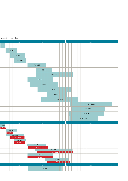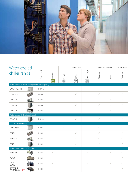

| Water cooled                                        |             |                                                                                                      |                       | Compressor     |              | Efficiency version | Sound version |              |  |
|-----------------------------------------------------|-------------|------------------------------------------------------------------------------------------------------|-----------------------|----------------|--------------|--------------------|---------------|--------------|--|
| chiller range                                       | Refrigerant | Inverter<br>$\frac{1}{\sqrt{\frac{\sum_{i=1}^{n} \sum_{j=1}^{n} x_{ij}}{\sum_{i=1}^{n} x_{ij}^2}}}}$ | Scroll<br>$\circledS$ | <b>特</b> Screw | Gentrifugal  | Standard           | High          | Standard     |  |
| Water cooled chillers (Cooling only & Heating only) |             |                                                                                                      |                       |                |              |                    |               |              |  |
| $rac{1}{2}$<br>EWWP~KBW1N                           | R-407C      |                                                                                                      | $\checkmark$          |                |              | $\checkmark$       |               | $\checkmark$ |  |
| EWWD~J-                                             | R-134a      |                                                                                                      |                       | $\checkmark$   |              | $\checkmark$       |               | $\checkmark$ |  |
| 进<br>EWWD~G-                                        | R-134a      |                                                                                                      |                       | $\checkmark$   |              | $\checkmark$       | $\checkmark$  | $\checkmark$ |  |
| $\mathbf{F}$<br>EWWD~I-                             | R-134a      |                                                                                                      |                       | $\checkmark$   |              | $\checkmark$       | $\checkmark$  | $\checkmark$ |  |
| $-1$<br>EWWD~H-                                     | R-134a      |                                                                                                      |                       | $\checkmark$   |              |                    | $\checkmark$  | $\checkmark$ |  |
| Water cooled chillers (Cooling only)                |             |                                                                                                      |                       |                |              |                    |               |              |  |
| $\mathbf{r}$<br>EWWQ~B-                             | R-410A      |                                                                                                      |                       | $\checkmark$   |              | $\checkmark$       | $\checkmark$  | $\checkmark$ |  |
| Condenserless chillers                              |             |                                                                                                      |                       |                |              |                    |               |              |  |
| EWLP~KBW1N                                          | R-407C      |                                                                                                      | $\checkmark$          |                |              | $\checkmark$       |               | $\checkmark$ |  |
| $\frac{1}{100}$<br>EWLD~J-                          | R-134a      |                                                                                                      |                       | $\checkmark$   |              | $\checkmark$       |               | $\checkmark$ |  |
| æl,<br>EWLD~G-                                      | R-134a      |                                                                                                      |                       | $\checkmark$   |              | $\checkmark$       |               | $\checkmark$ |  |
| EWLD~I-                                             | R-134a      |                                                                                                      |                       | $\checkmark$   |              | $\checkmark$       |               | $\checkmark$ |  |
| Water cooled centrifugal chillers                   |             |                                                                                                      |                       |                |              |                    |               |              |  |
| EWWD~FZ                                             | R-134a      | $\checkmark$                                                                                         |                       |                | $\checkmark$ |                    | $\checkmark$  | $\checkmark$ |  |
| $\rightarrow$<br><b>DWME</b>                        | R-134a      | $\checkmark$                                                                                         |                       |                | $\checkmark$ |                    | $\checkmark$  | $\checkmark$ |  |
| DWSC<br>DWDC                                        | R-134a      | $\checkmark$                                                                                         |                       |                | $\checkmark$ |                    | $\checkmark$  | $\checkmark$ |  |
| 3,000 TON<br>CENTRIFUGAL NEW                        | R-134a      |                                                                                                      |                       |                | $\checkmark$ |                    | $\checkmark$  | $\checkmark$ |  |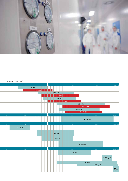

Capacity classes (kW)

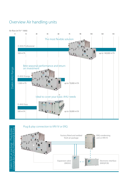## Overview Air handling units

### Air flow (m3 /h \* 1000)



Plug & play connection to VRV IV or ERQ



Daikin fresh air package - Daikin fresh air package - Plug & play<br>concept for D-AHU Professional & Easy D-AHU Professional & Easy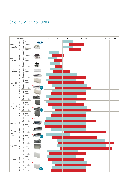### Overview Fan coil units